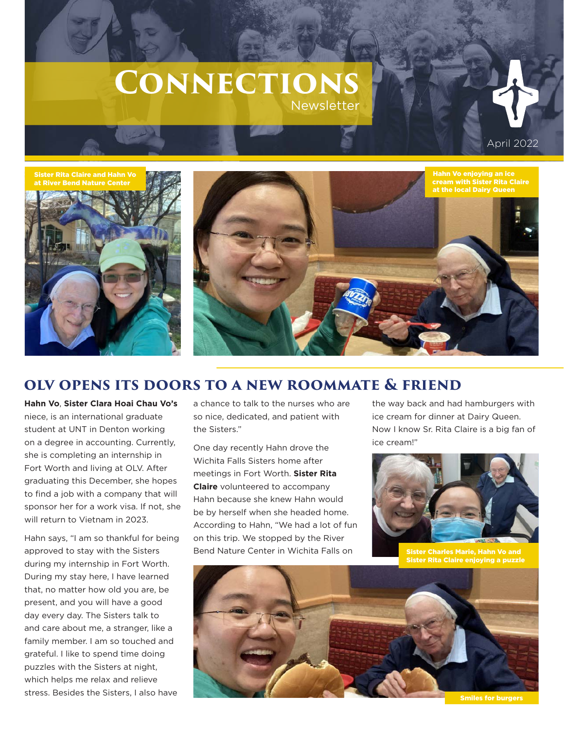# **Connections**  Newsletter







## **olv opens its doors to a new roommate & friend**

**Hahn Vo**, **Sister Clara Hoai Chau Vo's** niece, is an international graduate student at UNT in Denton working on a degree in accounting. Currently, she is completing an internship in Fort Worth and living at OLV. After graduating this December, she hopes to find a job with a company that will sponsor her for a work visa. If not, she will return to Vietnam in 2023.

Hahn says, "I am so thankful for being approved to stay with the Sisters during my internship in Fort Worth. During my stay here, I have learned that, no matter how old you are, be present, and you will have a good day every day. The Sisters talk to and care about me, a stranger, like a family member. I am so touched and grateful. I like to spend time doing puzzles with the Sisters at night, which helps me relax and relieve stress. Besides the Sisters, I also have

a chance to talk to the nurses who are so nice, dedicated, and patient with the Sisters."

One day recently Hahn drove the Wichita Falls Sisters home after meetings in Fort Worth. **Sister Rita Claire** volunteered to accompany Hahn because she knew Hahn would be by herself when she headed home. According to Hahn, "We had a lot of fun on this trip. We stopped by the River Bend Nature Center in Wichita Falls on

the way back and had hamburgers with ice cream for dinner at Dairy Queen. Now I know Sr. Rita Claire is a big fan of ice cream!"



Sister Charles Marie, Hahn Vo and Sister Rita Claire enjoying a puzzle



Smiles for burgers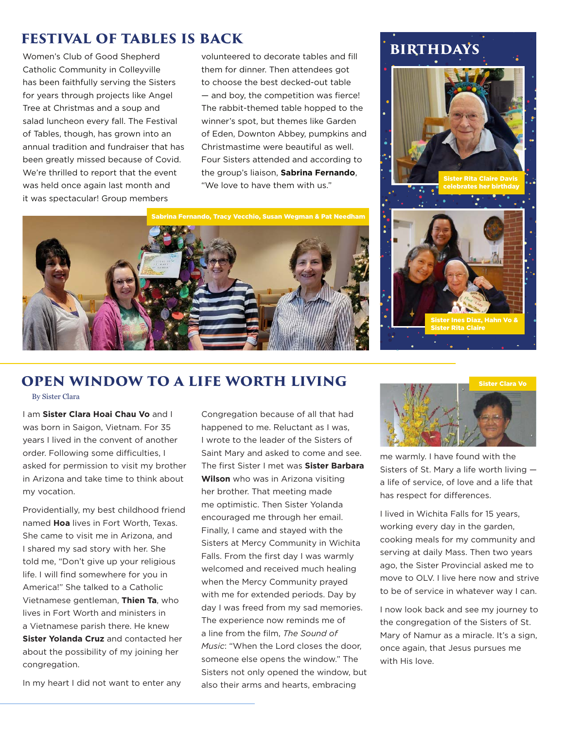#### **festival of tables is back**

Women's Club of Good Shepherd Catholic Community in Colleyville has been faithfully serving the Sisters for years through projects like Angel Tree at Christmas and a soup and salad luncheon every fall. The Festival of Tables, though, has grown into an annual tradition and fundraiser that has been greatly missed because of Covid. We're thrilled to report that the event was held once again last month and it was spectacular! Group members

volunteered to decorate tables and fill them for dinner. Then attendees got to choose the best decked-out table — and boy, the competition was fierce! The rabbit-themed table hopped to the winner's spot, but themes like Garden of Eden, Downton Abbey, pumpkins and Christmastime were beautiful as well. Four Sisters attended and according to the group's liaison, **Sabrina Fernando**, "We love to have them with us."

rina Fernando, Tracy Vecchio, Susan Wegman & Pat Needham

## **birthdays**



#### **open window to a life worth living**

By Sister Clara

I am **Sister Clara Hoai Chau Vo** and I was born in Saigon, Vietnam. For 35 years I lived in the convent of another order. Following some difficulties, I asked for permission to visit my brother in Arizona and take time to think about my vocation.

Providentially, my best childhood friend named **Hoa** lives in Fort Worth, Texas. She came to visit me in Arizona, and I shared my sad story with her. She told me, "Don't give up your religious life. I will find somewhere for you in America!" She talked to a Catholic Vietnamese gentleman, **Thien Ta**, who lives in Fort Worth and ministers in a Vietnamese parish there. He knew **Sister Yolanda Cruz** and contacted her about the possibility of my joining her congregation.

In my heart I did not want to enter any

Congregation because of all that had happened to me. Reluctant as I was, I wrote to the leader of the Sisters of Saint Mary and asked to come and see. The first Sister I met was **Sister Barbara Wilson** who was in Arizona visiting her brother. That meeting made me optimistic. Then Sister Yolanda encouraged me through her email. Finally, I came and stayed with the Sisters at Mercy Community in Wichita Falls. From the first day I was warmly welcomed and received much healing when the Mercy Community prayed with me for extended periods. Day by day I was freed from my sad memories. The experience now reminds me of a line from the film, *The Sound of Music*: "When the Lord closes the door, someone else opens the window." The Sisters not only opened the window, but also their arms and hearts, embracing



me warmly. I have found with the Sisters of St. Mary a life worth living a life of service, of love and a life that has respect for differences.

I lived in Wichita Falls for 15 years, working every day in the garden, cooking meals for my community and serving at daily Mass. Then two years ago, the Sister Provincial asked me to move to OLV. I live here now and strive to be of service in whatever way I can.

I now look back and see my journey to the congregation of the Sisters of St. Mary of Namur as a miracle. It's a sign, once again, that Jesus pursues me with His love.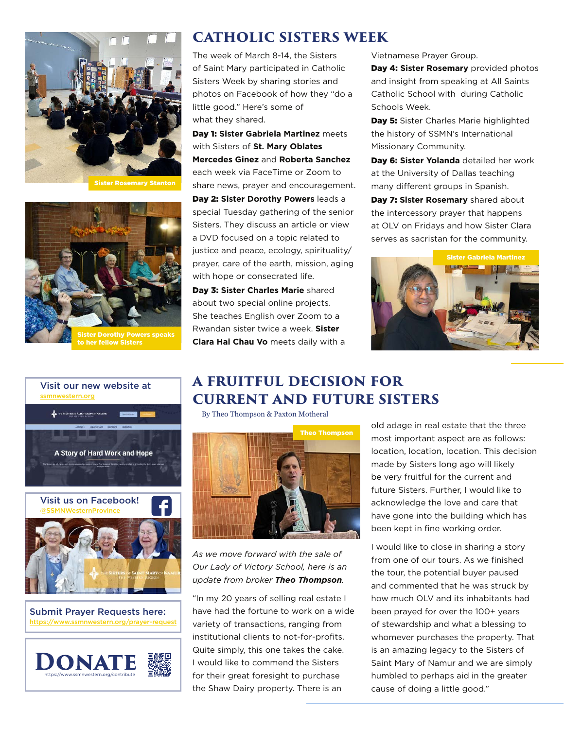

Sister Rosemary Stanton



to her fellow Sisters



Submit Prayer Requests here: https://www.ssmnwestern.org/prayer-re



## **catholic sisters week**

The week of March 8-14, the Sisters of Saint Mary participated in Catholic Sisters Week by sharing stories and photos on Facebook of how they "do a little good." Here's some of what they shared.

Day 1: **Sister Gabriela Martinez** meets with Sisters of **St. Mary Oblates Mercedes Ginez** and **Roberta Sanchez** each week via FaceTime or Zoom to share news, prayer and encouragement. Day 2: **Sister Dorothy Powers** leads a special Tuesday gathering of the senior Sisters. They discuss an article or view a DVD focused on a topic related to justice and peace, ecology, spirituality/ prayer, care of the earth, mission, aging with hope or consecrated life.

Day 3: **Sister Charles Marie** shared about two special online projects. She teaches English over Zoom to a Rwandan sister twice a week. **Sister Clara Hai Chau Vo** meets daily with a Vietnamese Prayer Group.

Day 4: **Sister Rosemary** provided photos and insight from speaking at All Saints Catholic School with during Catholic Schools Week.

Day 5: Sister Charles Marie highlighted the history of SSMN's International Missionary Community.

Day 6: **Sister Yolanda** detailed her work at the University of Dallas teaching many different groups in Spanish.

**Day 7: Sister Rosemary** shared about the intercessory prayer that happens at OLV on Fridays and how Sister Clara serves as sacristan for the community.



## **a fruitful decision for current and future sisters**

By Theo Thompson & Paxton Motheral



*As we move forward with the sale of Our Lady of Victory School, here is an update from broker Theo Thompson.*

"In my 20 years of selling real estate I have had the fortune to work on a wide variety of transactions, ranging from institutional clients to not-for-profits. Quite simply, this one takes the cake. I would like to commend the Sisters for their great foresight to purchase the Shaw Dairy property. There is an

old adage in real estate that the three most important aspect are as follows: location, location, location. This decision made by Sisters long ago will likely be very fruitful for the current and future Sisters. Further, I would like to acknowledge the love and care that have gone into the building which has been kept in fine working order.

I would like to close in sharing a story from one of our tours. As we finished the tour, the potential buyer paused and commented that he was struck by how much OLV and its inhabitants had been prayed for over the 100+ years of stewardship and what a blessing to whomever purchases the property. That is an amazing legacy to the Sisters of Saint Mary of Namur and we are simply humbled to perhaps aid in the greater cause of doing a little good."